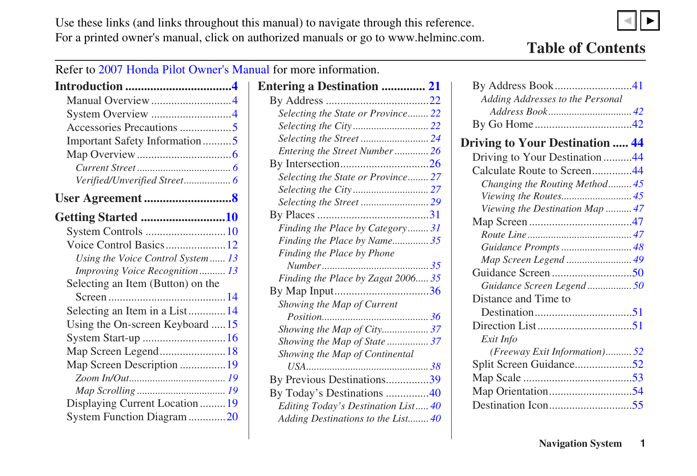<span id="page-0-0"></span>Use these links (and links throughout this manual) to navigate through this reference. For a printed owner's manual, click on authorized manuals or go to www.helminc.com.  $\blacktriangleleft$ ▼

## **Table of Contents**

Refer to 2007 Honda Pilot Owner's Manual for more information.

| Important Safety Information5     |  |
|-----------------------------------|--|
|                                   |  |
|                                   |  |
|                                   |  |
|                                   |  |
| Getting Started 10                |  |
|                                   |  |
| Voice Control Basics12            |  |
| Using the Voice Control System 13 |  |
| Improving Voice Recognition 13    |  |
| Selecting an Item (Button) on the |  |
|                                   |  |
| Selecting an Item in a List14     |  |
| Using the On-screen Keyboard  15  |  |
| System Start-up 16                |  |
| Map Screen Legend18               |  |
| Map Screen Description 19         |  |
|                                   |  |
|                                   |  |
| Displaying Current Location19     |  |
| System Function Diagram20         |  |

| <b>Entering a Destination  21</b>   |  |
|-------------------------------------|--|
|                                     |  |
| Selecting the State or Province 22  |  |
|                                     |  |
|                                     |  |
| Entering the Street Number26        |  |
|                                     |  |
| Selecting the State or Province 27  |  |
|                                     |  |
|                                     |  |
|                                     |  |
| Finding the Place by Category 31    |  |
| Finding the Place by Name35         |  |
| Finding the Place by Phone          |  |
|                                     |  |
| Finding the Place by Zagat 2006 35  |  |
|                                     |  |
| Showing the Map of Current          |  |
|                                     |  |
| Showing the Map of City 37          |  |
| Showing the Map of State 37         |  |
| Showing the Map of Continental      |  |
|                                     |  |
| By Previous Destinations39          |  |
| By Today's Destinations 40          |  |
| Editing Today's Destination List 40 |  |
| Adding Destinations to the List 40  |  |
|                                     |  |

| Adding Addresses to the Personal       |  |
|----------------------------------------|--|
|                                        |  |
|                                        |  |
| <b>Driving to Your Destination  44</b> |  |
| Driving to Your Destination44          |  |
| Calculate Route to Screen44            |  |
| Changing the Routing Method45          |  |
| Viewing the Routes 45                  |  |
| Viewing the Destination Map  47        |  |
|                                        |  |
|                                        |  |
| Guidance Prompts  48                   |  |
|                                        |  |
|                                        |  |
| Guidance Screen Legend 50              |  |
| Distance and Time to                   |  |
|                                        |  |
|                                        |  |
| Exit Info                              |  |
| (Freeway Exit Information)52           |  |
| Split Screen Guidance52                |  |
|                                        |  |
|                                        |  |
|                                        |  |
|                                        |  |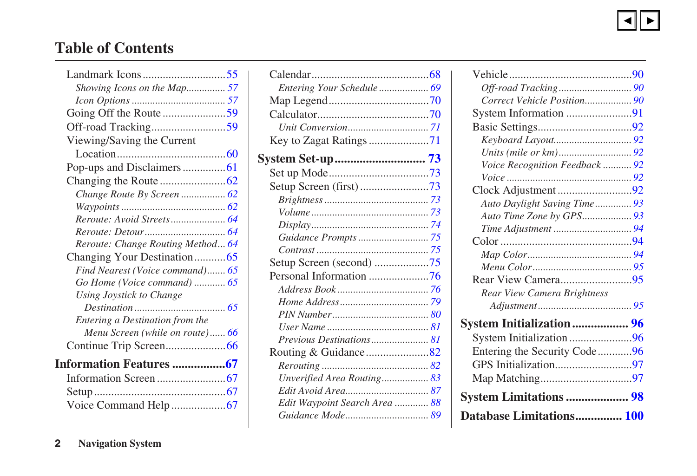## <span id="page-1-0"></span>**Table of Contents**

| Showing Icons on the Map 57       |  |
|-----------------------------------|--|
|                                   |  |
| Going Off the Route 59            |  |
|                                   |  |
| Viewing/Saving the Current        |  |
|                                   |  |
| Pop-ups and Disclaimers61         |  |
|                                   |  |
|                                   |  |
|                                   |  |
|                                   |  |
|                                   |  |
| Reroute: Change Routing Method 64 |  |
| Changing Your Destination65       |  |
| Find Nearest (Voice command) 65   |  |
| Go Home (Voice command)  65       |  |
| Using Joystick to Change          |  |
|                                   |  |
| Entering a Destination from the   |  |
| Menu Screen (while on route) 66   |  |
|                                   |  |
| Information Features 67           |  |
|                                   |  |
|                                   |  |
|                                   |  |

| Entering Your Schedule 69     |  |
|-------------------------------|--|
|                               |  |
|                               |  |
|                               |  |
|                               |  |
|                               |  |
|                               |  |
| Setup Screen (first)73        |  |
|                               |  |
|                               |  |
|                               |  |
|                               |  |
|                               |  |
|                               |  |
|                               |  |
|                               |  |
|                               |  |
|                               |  |
|                               |  |
| Previous Destinations 81      |  |
|                               |  |
|                               |  |
| Unverified Area Routing 83    |  |
|                               |  |
| Edit Waypoint Search Area  88 |  |
|                               |  |

| Correct Vehicle Position 90     |  |
|---------------------------------|--|
| System Information 91           |  |
|                                 |  |
|                                 |  |
|                                 |  |
| Voice Recognition Feedback  92  |  |
|                                 |  |
|                                 |  |
| Auto Daylight Saving Time 93    |  |
|                                 |  |
|                                 |  |
|                                 |  |
|                                 |  |
|                                 |  |
|                                 |  |
| Rear View Camera Brightness     |  |
|                                 |  |
| <b>System Initialization 96</b> |  |
| System Initialization 96        |  |
|                                 |  |
|                                 |  |
|                                 |  |
| <b>System Limitations  98</b>   |  |
| Database Limitations 100        |  |